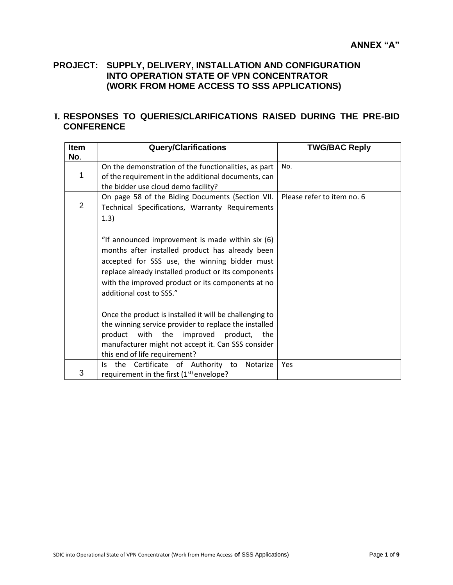## **PROJECT: SUPPLY, DELIVERY, INSTALLATION AND CONFIGURATION INTO OPERATION STATE OF VPN CONCENTRATOR (WORK FROM HOME ACCESS TO SSS APPLICATIONS)**

## **I. RESPONSES TO QUERIES/CLARIFICATIONS RAISED DURING THE PRE-BID CONFERENCE**

| <b>Item</b><br>No. | <b>Query/Clarifications</b>                                                                                                                                                                                                                                                                  | <b>TWG/BAC Reply</b>       |
|--------------------|----------------------------------------------------------------------------------------------------------------------------------------------------------------------------------------------------------------------------------------------------------------------------------------------|----------------------------|
| 1                  | On the demonstration of the functionalities, as part<br>of the requirement in the additional documents, can<br>the bidder use cloud demo facility?                                                                                                                                           | No.                        |
| 2                  | On page 58 of the Biding Documents (Section VII.<br>Technical Specifications, Warranty Requirements<br>1.3)                                                                                                                                                                                  | Please refer to item no. 6 |
|                    | "If announced improvement is made within six (6)<br>months after installed product has already been<br>accepted for SSS use, the winning bidder must<br>replace already installed product or its components<br>with the improved product or its components at no<br>additional cost to SSS." |                            |
|                    | Once the product is installed it will be challenging to<br>the winning service provider to replace the installed<br>product with the<br>improved<br>product, the<br>manufacturer might not accept it. Can SSS consider<br>this end of life requirement?                                      |                            |
| 3                  | the Certificate of Authority to<br>Notarize<br>ls.<br>requirement in the first $(1st)$ envelope?                                                                                                                                                                                             | Yes                        |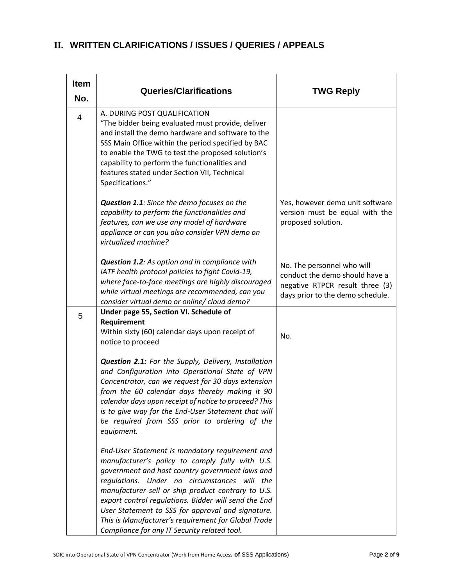| <b>Item</b><br>No. | <b>Queries/Clarifications</b>                                                                                                                                                                                                                                                                                                                                                                                                                                                   | <b>TWG Reply</b>                                                                                                                    |
|--------------------|---------------------------------------------------------------------------------------------------------------------------------------------------------------------------------------------------------------------------------------------------------------------------------------------------------------------------------------------------------------------------------------------------------------------------------------------------------------------------------|-------------------------------------------------------------------------------------------------------------------------------------|
| $\overline{4}$     | A. DURING POST QUALIFICATION<br>"The bidder being evaluated must provide, deliver<br>and install the demo hardware and software to the<br>SSS Main Office within the period specified by BAC<br>to enable the TWG to test the proposed solution's<br>capability to perform the functionalities and<br>features stated under Section VII, Technical<br>Specifications."                                                                                                          |                                                                                                                                     |
|                    | Question 1.1: Since the demo focuses on the<br>capability to perform the functionalities and<br>features, can we use any model of hardware<br>appliance or can you also consider VPN demo on<br>virtualized machine?                                                                                                                                                                                                                                                            | Yes, however demo unit software<br>version must be equal with the<br>proposed solution.                                             |
|                    | <b>Question 1.2:</b> As option and in compliance with<br>IATF health protocol policies to fight Covid-19,<br>where face-to-face meetings are highly discouraged<br>while virtual meetings are recommended, can you<br>consider virtual demo or online/ cloud demo?                                                                                                                                                                                                              | No. The personnel who will<br>conduct the demo should have a<br>negative RTPCR result three (3)<br>days prior to the demo schedule. |
| 5                  | Under page 55, Section VI. Schedule of<br>Requirement<br>Within sixty (60) calendar days upon receipt of                                                                                                                                                                                                                                                                                                                                                                        | No.                                                                                                                                 |
|                    | notice to proceed<br>Question 2.1: For the Supply, Delivery, Installation<br>and Configuration into Operational State of VPN<br>Concentrator, can we request for 30 days extension<br>from the 60 calendar days thereby making it 90<br>calendar days upon receipt of notice to proceed? This<br>is to give way for the End-User Statement that will<br>be required from SSS prior to ordering of the<br>equipment.                                                             |                                                                                                                                     |
|                    | End-User Statement is mandatory requirement and<br>manufacturer's policy to comply fully with U.S.<br>government and host country government laws and<br>regulations. Under no circumstances will the<br>manufacturer sell or ship product contrary to U.S.<br>export control regulations. Bidder will send the End<br>User Statement to SSS for approval and signature.<br>This is Manufacturer's requirement for Global Trade<br>Compliance for any IT Security related tool. |                                                                                                                                     |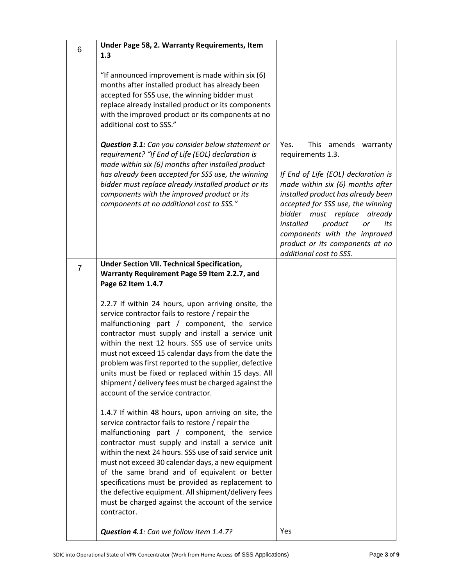| 6              | Under Page 58, 2. Warranty Requirements, Item                                                                                                                                                                                                                                                                                                                                                                                                                                                                                                                  |                                                                                                                                                                                                                                                                                                                                                                              |
|----------------|----------------------------------------------------------------------------------------------------------------------------------------------------------------------------------------------------------------------------------------------------------------------------------------------------------------------------------------------------------------------------------------------------------------------------------------------------------------------------------------------------------------------------------------------------------------|------------------------------------------------------------------------------------------------------------------------------------------------------------------------------------------------------------------------------------------------------------------------------------------------------------------------------------------------------------------------------|
|                | 1.3                                                                                                                                                                                                                                                                                                                                                                                                                                                                                                                                                            |                                                                                                                                                                                                                                                                                                                                                                              |
|                | "If announced improvement is made within six (6)<br>months after installed product has already been<br>accepted for SSS use, the winning bidder must<br>replace already installed product or its components<br>with the improved product or its components at no<br>additional cost to SSS."                                                                                                                                                                                                                                                                   |                                                                                                                                                                                                                                                                                                                                                                              |
|                | Question 3.1: Can you consider below statement or<br>requirement? "If End of Life (EOL) declaration is<br>made within six (6) months after installed product<br>has already been accepted for SSS use, the winning<br>bidder must replace already installed product or its<br>components with the improved product or its<br>components at no additional cost to SSS."                                                                                                                                                                                         | This amends warranty<br>Yes.<br>requirements 1.3.<br>If End of Life (EOL) declaration is<br>made within six (6) months after<br>installed product has already been<br>accepted for SSS use, the winning<br>bidder must replace<br>already<br>installed<br>product<br>its<br>or<br>components with the improved<br>product or its components at no<br>additional cost to SSS. |
| $\overline{7}$ | <b>Under Section VII. Technical Specification,</b>                                                                                                                                                                                                                                                                                                                                                                                                                                                                                                             |                                                                                                                                                                                                                                                                                                                                                                              |
|                | Warranty Requirement Page 59 Item 2.2.7, and                                                                                                                                                                                                                                                                                                                                                                                                                                                                                                                   |                                                                                                                                                                                                                                                                                                                                                                              |
|                | Page 62 Item 1.4.7                                                                                                                                                                                                                                                                                                                                                                                                                                                                                                                                             |                                                                                                                                                                                                                                                                                                                                                                              |
|                | 2.2.7 If within 24 hours, upon arriving onsite, the<br>service contractor fails to restore / repair the<br>malfunctioning part / component, the service<br>contractor must supply and install a service unit<br>within the next 12 hours. SSS use of service units<br>must not exceed 15 calendar days from the date the<br>problem was first reported to the supplier, defective<br>units must be fixed or replaced within 15 days. All<br>shipment / delivery fees must be charged against the<br>account of the service contractor.                         |                                                                                                                                                                                                                                                                                                                                                                              |
|                | 1.4.7 If within 48 hours, upon arriving on site, the<br>service contractor fails to restore / repair the<br>malfunctioning part / component, the service<br>contractor must supply and install a service unit<br>within the next 24 hours. SSS use of said service unit<br>must not exceed 30 calendar days, a new equipment<br>of the same brand and of equivalent or better<br>specifications must be provided as replacement to<br>the defective equipment. All shipment/delivery fees<br>must be charged against the account of the service<br>contractor. |                                                                                                                                                                                                                                                                                                                                                                              |
|                | Question 4.1: Can we follow item 1.4.7?                                                                                                                                                                                                                                                                                                                                                                                                                                                                                                                        | <b>Yes</b>                                                                                                                                                                                                                                                                                                                                                                   |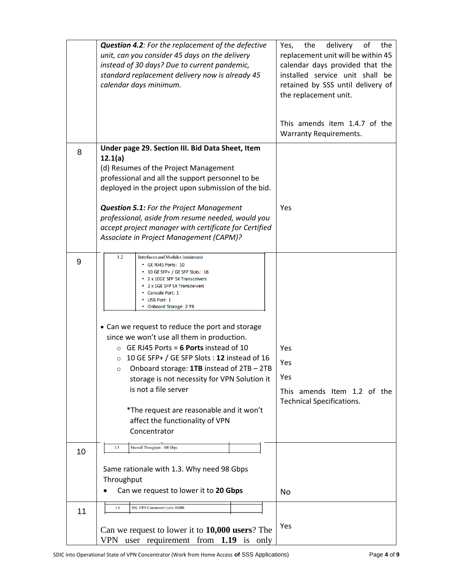|    | <b>Question 4.2:</b> For the replacement of the defective<br>unit, can you consider 45 days on the delivery<br>instead of 30 days? Due to current pandemic,<br>standard replacement delivery now is already 45<br>calendar days minimum.                                                                                                                                                                                                                                                                                                                                                                                                                                             | delivery<br>Yes,<br>the<br>of<br>the<br>replacement unit will be within 45<br>calendar days provided that the<br>installed service unit shall be<br>retained by SSS until delivery of<br>the replacement unit.<br>This amends item 1.4.7 of the |
|----|--------------------------------------------------------------------------------------------------------------------------------------------------------------------------------------------------------------------------------------------------------------------------------------------------------------------------------------------------------------------------------------------------------------------------------------------------------------------------------------------------------------------------------------------------------------------------------------------------------------------------------------------------------------------------------------|-------------------------------------------------------------------------------------------------------------------------------------------------------------------------------------------------------------------------------------------------|
|    |                                                                                                                                                                                                                                                                                                                                                                                                                                                                                                                                                                                                                                                                                      | <b>Warranty Requirements.</b>                                                                                                                                                                                                                   |
| 8  | Under page 29. Section III. Bid Data Sheet, Item<br>12.1(a)<br>(d) Resumes of the Project Management<br>professional and all the support personnel to be<br>deployed in the project upon submission of the bid.<br>Question 5.1: For the Project Management<br>professional, aside from resume needed, would you<br>accept project manager with certificate for Certified<br>Associate in Project Management (CAPM)?                                                                                                                                                                                                                                                                 | Yes                                                                                                                                                                                                                                             |
| 9  | 1.2<br>Interfaces and Modules (minimum)<br>• GE RJ45 Ports: 10<br>• 10 GE SFP+ / GE SFP Slots: 16<br>• 2 x 10GE SFP SX Transceivers<br>• 2 x 1GE SFP SX Transceivers<br>• Console Port: 1<br>• USB Port: 1<br>• Onboard Storage: 2 TB<br>• Can we request to reduce the port and storage<br>since we won't use all them in production.<br>GE RJ45 Ports = 6 Ports instead of 10<br>$\Omega$<br>10 GE SFP+ / GE SFP Slots: 12 instead of 16<br>$\circ$<br>Onboard storage: 1TB instead of 2TB - 2TB<br>$\circ$<br>storage is not necessity for VPN Solution it<br>is not a file server<br>*The request are reasonable and it won't<br>affect the functionality of VPN<br>Concentrator | <b>Yes</b><br>Yes<br>Yes<br>This amends Item 1.2 of the<br><b>Technical Specifications.</b>                                                                                                                                                     |
| 10 | 1.3<br>Firewall Throughput: 100 Gbps<br>Same rationale with 1.3. Why need 98 Gbps<br>Throughput                                                                                                                                                                                                                                                                                                                                                                                                                                                                                                                                                                                      |                                                                                                                                                                                                                                                 |
|    | Can we request to lower it to 20 Gbps                                                                                                                                                                                                                                                                                                                                                                                                                                                                                                                                                                                                                                                | No                                                                                                                                                                                                                                              |
| 11 | 1.8<br>SSL VPN Concurrent Users: 30,000<br>Can we request to lower it to 10,000 users? The<br>user requirement from $1.19$ is only<br>VPN                                                                                                                                                                                                                                                                                                                                                                                                                                                                                                                                            | Yes                                                                                                                                                                                                                                             |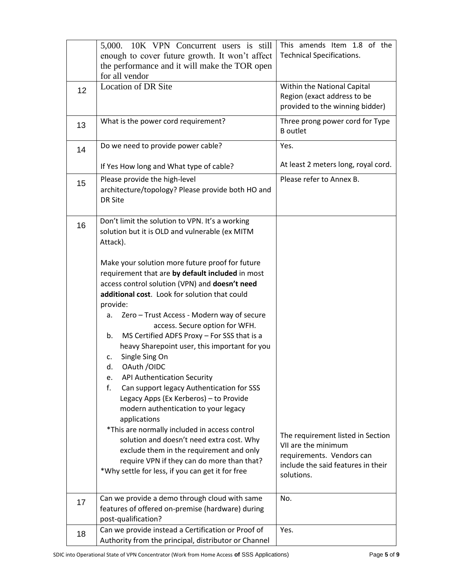|    | 5,000. 10K VPN Concurrent users is still<br>enough to cover future growth. It won't affect<br>the performance and it will make the TOR open<br>for all vendor                                                                                                                                                                                                                                                                                                                                                                                                                                                                                                                                                                                                                                                                                                                                             | This amends Item 1.8 of the<br><b>Technical Specifications.</b>                                                                           |
|----|-----------------------------------------------------------------------------------------------------------------------------------------------------------------------------------------------------------------------------------------------------------------------------------------------------------------------------------------------------------------------------------------------------------------------------------------------------------------------------------------------------------------------------------------------------------------------------------------------------------------------------------------------------------------------------------------------------------------------------------------------------------------------------------------------------------------------------------------------------------------------------------------------------------|-------------------------------------------------------------------------------------------------------------------------------------------|
| 12 | <b>Location of DR Site</b>                                                                                                                                                                                                                                                                                                                                                                                                                                                                                                                                                                                                                                                                                                                                                                                                                                                                                | Within the National Capital<br>Region (exact address to be<br>provided to the winning bidder)                                             |
| 13 | What is the power cord requirement?                                                                                                                                                                                                                                                                                                                                                                                                                                                                                                                                                                                                                                                                                                                                                                                                                                                                       | Three prong power cord for Type<br><b>B</b> outlet                                                                                        |
| 14 | Do we need to provide power cable?                                                                                                                                                                                                                                                                                                                                                                                                                                                                                                                                                                                                                                                                                                                                                                                                                                                                        | Yes.                                                                                                                                      |
|    | If Yes How long and What type of cable?                                                                                                                                                                                                                                                                                                                                                                                                                                                                                                                                                                                                                                                                                                                                                                                                                                                                   | At least 2 meters long, royal cord.                                                                                                       |
| 15 | Please provide the high-level<br>architecture/topology? Please provide both HO and<br><b>DR Site</b>                                                                                                                                                                                                                                                                                                                                                                                                                                                                                                                                                                                                                                                                                                                                                                                                      | Please refer to Annex B.                                                                                                                  |
| 16 | Don't limit the solution to VPN. It's a working<br>solution but it is OLD and vulnerable (ex MITM<br>Attack).                                                                                                                                                                                                                                                                                                                                                                                                                                                                                                                                                                                                                                                                                                                                                                                             |                                                                                                                                           |
|    | Make your solution more future proof for future<br>requirement that are by default included in most<br>access control solution (VPN) and doesn't need<br>additional cost. Look for solution that could<br>provide:<br>Zero - Trust Access - Modern way of secure<br>а.<br>access. Secure option for WFH.<br>MS Certified ADFS Proxy - For SSS that is a<br>b.<br>heavy Sharepoint user, this important for you<br>Single Sing On<br>c.<br>OAuth / OIDC<br>d.<br><b>API Authentication Security</b><br>e.<br>f.<br>Can support legacy Authentication for SSS<br>Legacy Apps (Ex Kerberos) - to Provide<br>modern authentication to your legacy<br>applications<br>*This are normally included in access control<br>solution and doesn't need extra cost. Why<br>exclude them in the requirement and only<br>require VPN if they can do more than that?<br>*Why settle for less, if you can get it for free | The requirement listed in Section<br>VII are the minimum<br>requirements. Vendors can<br>include the said features in their<br>solutions. |
| 17 | Can we provide a demo through cloud with same<br>features of offered on-premise (hardware) during<br>post-qualification?                                                                                                                                                                                                                                                                                                                                                                                                                                                                                                                                                                                                                                                                                                                                                                                  | No.                                                                                                                                       |
| 18 | Can we provide instead a Certification or Proof of<br>Authority from the principal, distributor or Channel                                                                                                                                                                                                                                                                                                                                                                                                                                                                                                                                                                                                                                                                                                                                                                                                | Yes.                                                                                                                                      |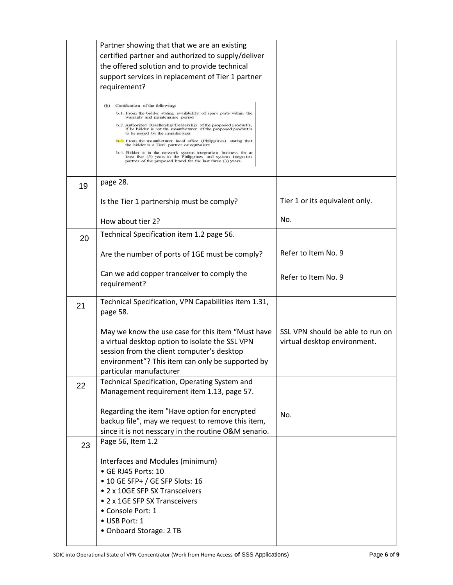| Partner showing that that we are an existing                                                                                                                                                                                   |                                                                                                                                                                                      |
|--------------------------------------------------------------------------------------------------------------------------------------------------------------------------------------------------------------------------------|--------------------------------------------------------------------------------------------------------------------------------------------------------------------------------------|
| certified partner and authorized to supply/deliver                                                                                                                                                                             |                                                                                                                                                                                      |
| the offered solution and to provide technical                                                                                                                                                                                  |                                                                                                                                                                                      |
| support services in replacement of Tier 1 partner                                                                                                                                                                              |                                                                                                                                                                                      |
| requirement?                                                                                                                                                                                                                   |                                                                                                                                                                                      |
|                                                                                                                                                                                                                                |                                                                                                                                                                                      |
| b.1. From the bidder stating availability of spare parts within the                                                                                                                                                            |                                                                                                                                                                                      |
| b.2. Authorized Resellership/Dealership of the proposed product/s,<br>if he bidder is not the manufacturer of the proposed product/s                                                                                           |                                                                                                                                                                                      |
| <b>b.3.</b> From the manufacturer local office (Philippines) stating that                                                                                                                                                      |                                                                                                                                                                                      |
| b.4. Bidder is in the network system integration business for at<br>least five (5) years in the Philippines and system integrator<br>partner of the proposed brand for the last three (3) years.                               |                                                                                                                                                                                      |
| page 28.                                                                                                                                                                                                                       |                                                                                                                                                                                      |
| Is the Tier 1 partnership must be comply?                                                                                                                                                                                      | Tier 1 or its equivalent only.                                                                                                                                                       |
| How about tier 2?                                                                                                                                                                                                              | No.                                                                                                                                                                                  |
| Technical Specification item 1.2 page 56.                                                                                                                                                                                      |                                                                                                                                                                                      |
| Are the number of ports of 1GE must be comply?                                                                                                                                                                                 | Refer to Item No. 9                                                                                                                                                                  |
| Can we add copper tranceiver to comply the<br>requirement?                                                                                                                                                                     | Refer to Item No. 9                                                                                                                                                                  |
| Technical Specification, VPN Capabilities item 1.31,<br>page 58.                                                                                                                                                               |                                                                                                                                                                                      |
| May we know the use case for this item "Must have<br>a virtual desktop option to isolate the SSL VPN<br>session from the client computer's desktop<br>environment"? This item can only be supported by                         | SSL VPN should be able to run on<br>virtual desktop environment.                                                                                                                     |
| Technical Specification, Operating System and<br>Management requirement item 1.13, page 57.                                                                                                                                    |                                                                                                                                                                                      |
| Regarding the item "Have option for encrypted<br>backup file", may we request to remove this item,<br>since it is not nesscary in the routine O&M senario.                                                                     | No.                                                                                                                                                                                  |
| Page 56, Item 1.2                                                                                                                                                                                                              |                                                                                                                                                                                      |
| Interfaces and Modules (minimum)<br>· GE RJ45 Ports: 10<br>• 10 GE SFP+ / GE SFP Slots: 16<br>• 2 x 10GE SFP SX Transceivers<br>• 2 x 1GE SFP SX Transceivers<br>• Console Port: 1<br>• USB Port: 1<br>• Onboard Storage: 2 TB |                                                                                                                                                                                      |
|                                                                                                                                                                                                                                | (b) Certification of the following:<br>warranty and maintenance period<br>to be issued by the manufacturer<br>the bidder is a Tier1 partner or equivalent<br>particular manufacturer |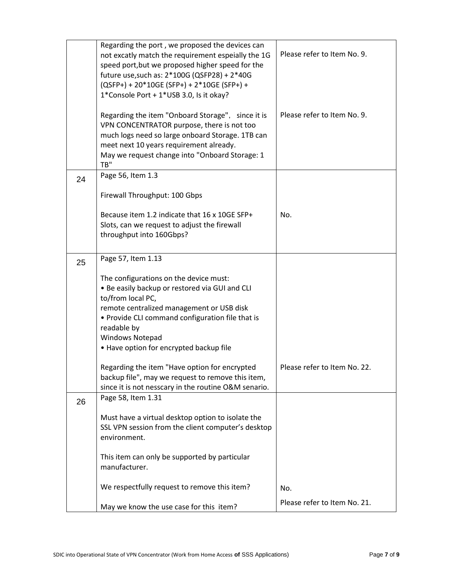|    | Regarding the port, we proposed the devices can<br>not excatly match the requirement espeially the 1G<br>speed port, but we proposed higher speed for the<br>future use, such as: 2*100G (QSFP28) + 2*40G<br>(QSFP+) + 20*10GE (SFP+) + 2*10GE (SFP+) +<br>1*Console Port + 1*USB 3.0, Is it okay?<br>Regarding the item "Onboard Storage", since it is<br>VPN CONCENTRATOR purpose, there is not too<br>much logs need so large onboard Storage. 1TB can | Please refer to Item No. 9.<br>Please refer to Item No. 9. |
|----|-----------------------------------------------------------------------------------------------------------------------------------------------------------------------------------------------------------------------------------------------------------------------------------------------------------------------------------------------------------------------------------------------------------------------------------------------------------|------------------------------------------------------------|
|    | meet next 10 years requirement already.<br>May we request change into "Onboard Storage: 1<br>TB"                                                                                                                                                                                                                                                                                                                                                          |                                                            |
| 24 | Page 56, Item 1.3                                                                                                                                                                                                                                                                                                                                                                                                                                         |                                                            |
|    | Firewall Throughput: 100 Gbps                                                                                                                                                                                                                                                                                                                                                                                                                             |                                                            |
|    | Because item 1.2 indicate that 16 x 10GE SFP+<br>Slots, can we request to adjust the firewall<br>throughput into 160Gbps?                                                                                                                                                                                                                                                                                                                                 | No.                                                        |
| 25 | Page 57, Item 1.13                                                                                                                                                                                                                                                                                                                                                                                                                                        |                                                            |
|    | The configurations on the device must:<br>. Be easily backup or restored via GUI and CLI<br>to/from local PC,<br>remote centralized management or USB disk<br>• Provide CLI command configuration file that is<br>readable by<br><b>Windows Notepad</b><br>• Have option for encrypted backup file                                                                                                                                                        |                                                            |
|    | Regarding the item "Have option for encrypted<br>backup file", may we request to remove this item,<br>since it is not nesscary in the routine O&M senario.                                                                                                                                                                                                                                                                                                | Please refer to Item No. 22.                               |
| 26 | Page 58, Item 1.31                                                                                                                                                                                                                                                                                                                                                                                                                                        |                                                            |
|    | Must have a virtual desktop option to isolate the<br>SSL VPN session from the client computer's desktop<br>environment.                                                                                                                                                                                                                                                                                                                                   |                                                            |
|    | This item can only be supported by particular<br>manufacturer.                                                                                                                                                                                                                                                                                                                                                                                            |                                                            |
|    | We respectfully request to remove this item?                                                                                                                                                                                                                                                                                                                                                                                                              | No.                                                        |
|    | May we know the use case for this item?                                                                                                                                                                                                                                                                                                                                                                                                                   | Please refer to Item No. 21.                               |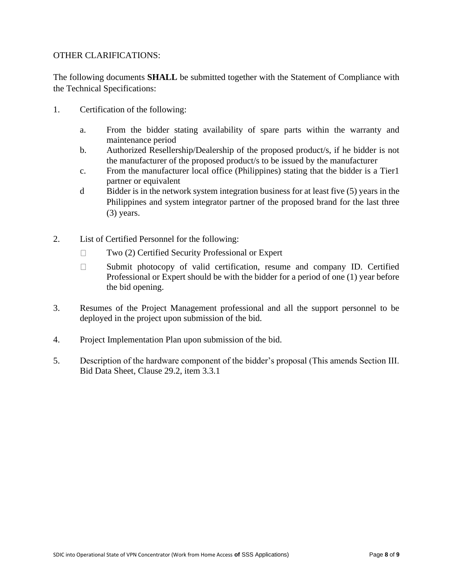## OTHER CLARIFICATIONS:

The following documents **SHALL** be submitted together with the Statement of Compliance with the Technical Specifications:

- 1. Certification of the following:
	- a. From the bidder stating availability of spare parts within the warranty and maintenance period
	- b. Authorized Resellership/Dealership of the proposed product/s, if he bidder is not the manufacturer of the proposed product/s to be issued by the manufacturer
	- c. From the manufacturer local office (Philippines) stating that the bidder is a Tier1 partner or equivalent
	- d Bidder is in the network system integration business for at least five (5) years in the Philippines and system integrator partner of the proposed brand for the last three (3) years.
- 2. List of Certified Personnel for the following:
	- $\Box$ Two (2) Certified Security Professional or Expert
	- Submit photocopy of valid certification, resume and company ID. Certified  $\Box$ Professional or Expert should be with the bidder for a period of one (1) year before the bid opening.
- 3. Resumes of the Project Management professional and all the support personnel to be deployed in the project upon submission of the bid.
- 4. Project Implementation Plan upon submission of the bid.
- 5. Description of the hardware component of the bidder's proposal (This amends Section III. Bid Data Sheet, Clause 29.2, item 3.3.1